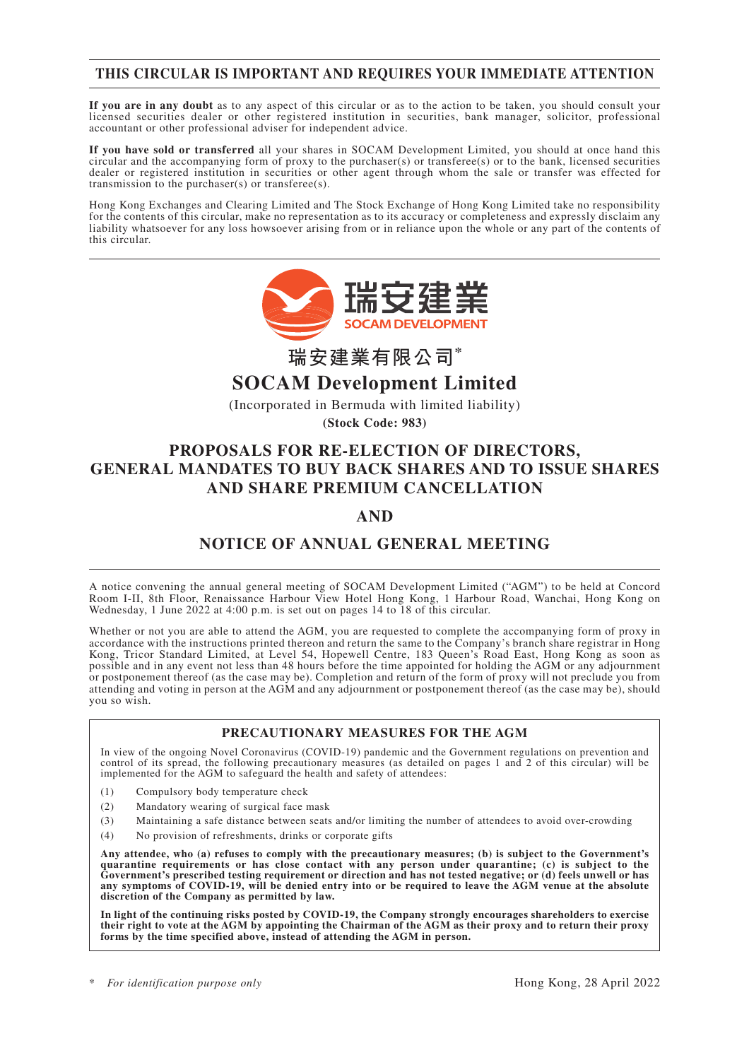## **THIS CIRCULAR IS IMPORTANT AND REQUIRES YOUR IMMEDIATE ATTENTION**

**If you are in any doubt** as to any aspect of this circular or as to the action to be taken, you should consult your licensed securities dealer or other registered institution in securities, bank manager, solicitor, professional accountant or other professional adviser for independent advice.

**If you have sold or transferred** all your shares in SOCAM Development Limited, you should at once hand this circular and the accompanying form of proxy to the purchaser(s) or transferee(s) or to the bank, licensed securities dealer or registered institution in securities or other agent through whom the sale or transfer was effected for transmission to the purchaser(s) or transferee(s).

Hong Kong Exchanges and Clearing Limited and The Stock Exchange of Hong Kong Limited take no responsibility for the contents of this circular, make no representation as to its accuracy or completeness and expressly disclaim any liability whatsoever for any loss howsoever arising from or in reliance upon the whole or any part of the contents of this circular.



**瑞安建業有限公司\***

## **SOCAM Development Limited**

(Incorporated in Bermuda with limited liability)

**(Stock Code: 983)**

## **PROPOSALS FOR RE-ELECTION OF DIRECTORS, GENERAL MANDATES TO BUY BACK SHARES AND TO ISSUE SHARES AND SHARE PREMIUM CANCELLATION**

## **AND**

## **NOTICE OF ANNUAL GENERAL MEETING**

A notice convening the annual general meeting of SOCAM Development Limited ("AGM") to be held at Concord Room I-II, 8th Floor, Renaissance Harbour View Hotel Hong Kong, 1 Harbour Road, Wanchai, Hong Kong on Wednesday, 1 June 2022 at 4:00 p.m. is set out on pages 14 to 18 of this circular.

Whether or not you are able to attend the AGM, you are requested to complete the accompanying form of proxy in accordance with the instructions printed thereon and return the same to the Company's branch share registrar in Hong Kong, Tricor Standard Limited, at Level 54, Hopewell Centre, 183 Queen's Road East, Hong Kong as soon as possible and in any event not less than 48 hours before the time appointed for holding the AGM or any adjournment or postponement thereof (as the case may be). Completion and return of the form of proxy will not preclude you from attending and voting in person at the AGM and any adjournment or postponement thereof (as the case may be), should you so wish.

### **PRECAUTIONARY MEASURES FOR THE AGM**

In view of the ongoing Novel Coronavirus (COVID-19) pandemic and the Government regulations on prevention and control of its spread, the following precautionary measures (as detailed on pages 1 and 2 of this circular) will be implemented for the AGM to safeguard the health and safety of attendees:

- (1) Compulsory body temperature check
- (2) Mandatory wearing of surgical face mask
- (3) Maintaining a safe distance between seats and/or limiting the number of attendees to avoid over-crowding
- (4) No provision of refreshments, drinks or corporate gifts

**Any attendee, who (a) refuses to comply with the precautionary measures; (b) is subject to the Government's quarantine requirements or has close contact with any person under quarantine; (c) is subject to the Government's prescribed testing requirement or direction and has not tested negative; or (d) feels unwell or has any symptoms of COVID-19, will be denied entry into or be required to leave the AGM venue at the absolute discretion of the Company as permitted by law.**

**In light of the continuing risks posted by COVID-19, the Company strongly encourages shareholders to exercise their right to vote at the AGM by appointing the Chairman of the AGM as their proxy and to return their proxy forms by the time specified above, instead of attending the AGM in person.**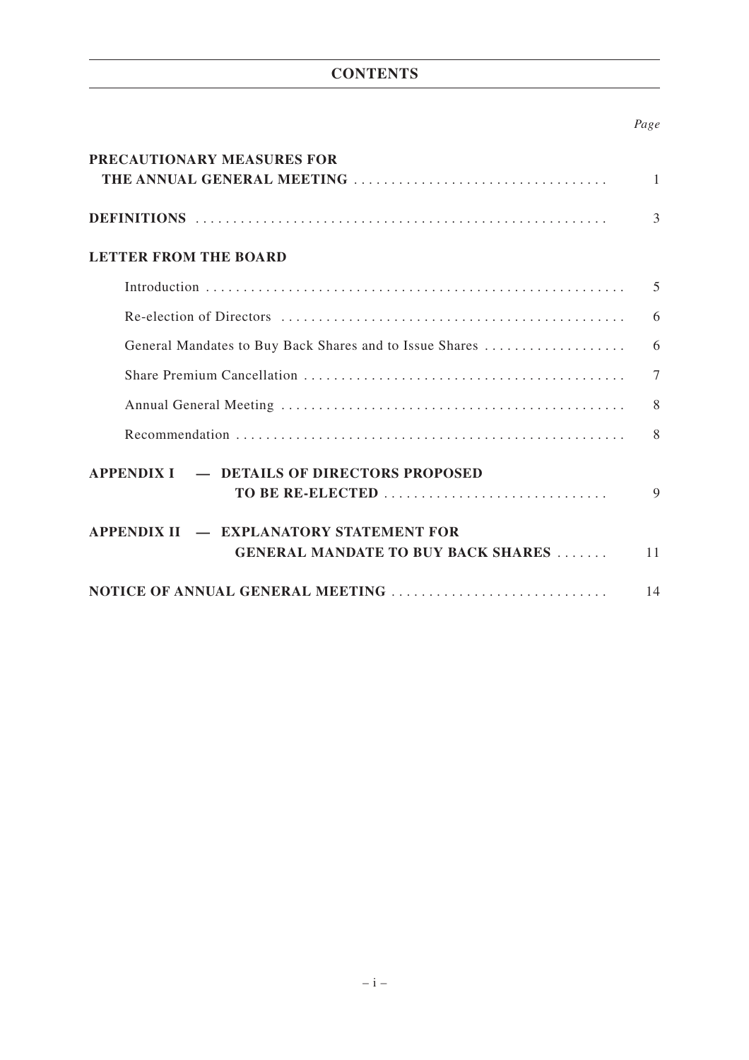## **CONTENTS**

## *Page*

| PRECAUTIONARY MEASURES FOR                                     |              |
|----------------------------------------------------------------|--------------|
|                                                                | $\mathbf{1}$ |
|                                                                | 3            |
| <b>LETTER FROM THE BOARD</b>                                   |              |
|                                                                | 5            |
|                                                                | 6            |
| General Mandates to Buy Back Shares and to Issue Shares        | 6            |
|                                                                | $\tau$       |
|                                                                | 8            |
|                                                                | 8            |
| APPENDIX I – DETAILS OF DIRECTORS PROPOSED<br>TO BE RE-ELECTED | 9            |
| APPENDIX II — EXPLANATORY STATEMENT FOR                        |              |
| <b>GENERAL MANDATE TO BUY BACK SHARES </b>                     | 11           |
| NOTICE OF ANNUAL GENERAL MEETING                               | 14           |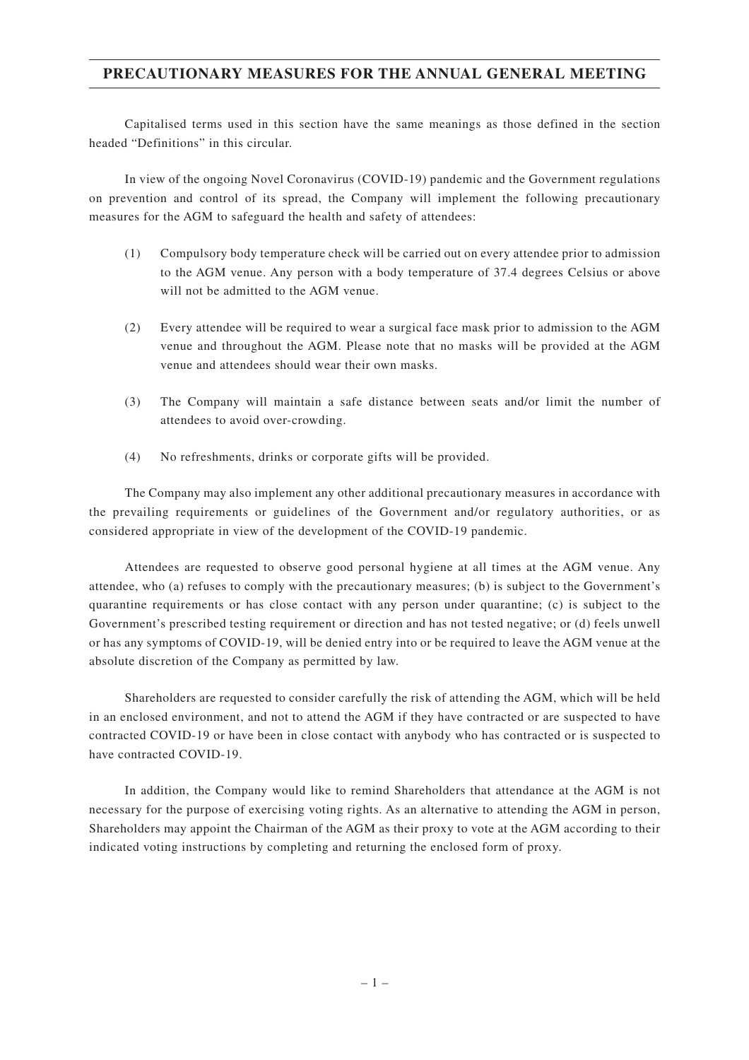## **PRECAUTIONARY MEASURES FOR THE ANNUAL GENERAL MEETING**

Capitalised terms used in this section have the same meanings as those defined in the section headed "Definitions" in this circular.

In view of the ongoing Novel Coronavirus (COVID-19) pandemic and the Government regulations on prevention and control of its spread, the Company will implement the following precautionary measures for the AGM to safeguard the health and safety of attendees:

- (1) Compulsory body temperature check will be carried out on every attendee prior to admission to the AGM venue. Any person with a body temperature of 37.4 degrees Celsius or above will not be admitted to the AGM venue.
- (2) Every attendee will be required to wear a surgical face mask prior to admission to the AGM venue and throughout the AGM. Please note that no masks will be provided at the AGM venue and attendees should wear their own masks.
- (3) The Company will maintain a safe distance between seats and/or limit the number of attendees to avoid over-crowding.
- (4) No refreshments, drinks or corporate gifts will be provided.

The Company may also implement any other additional precautionary measures in accordance with the prevailing requirements or guidelines of the Government and/or regulatory authorities, or as considered appropriate in view of the development of the COVID-19 pandemic.

Attendees are requested to observe good personal hygiene at all times at the AGM venue. Any attendee, who (a) refuses to comply with the precautionary measures; (b) is subject to the Government's quarantine requirements or has close contact with any person under quarantine; (c) is subject to the Government's prescribed testing requirement or direction and has not tested negative; or (d) feels unwell or has any symptoms of COVID-19, will be denied entry into or be required to leave the AGM venue at the absolute discretion of the Company as permitted by law.

Shareholders are requested to consider carefully the risk of attending the AGM, which will be held in an enclosed environment, and not to attend the AGM if they have contracted or are suspected to have contracted COVID-19 or have been in close contact with anybody who has contracted or is suspected to have contracted COVID-19.

In addition, the Company would like to remind Shareholders that attendance at the AGM is not necessary for the purpose of exercising voting rights. As an alternative to attending the AGM in person, Shareholders may appoint the Chairman of the AGM as their proxy to vote at the AGM according to their indicated voting instructions by completing and returning the enclosed form of proxy.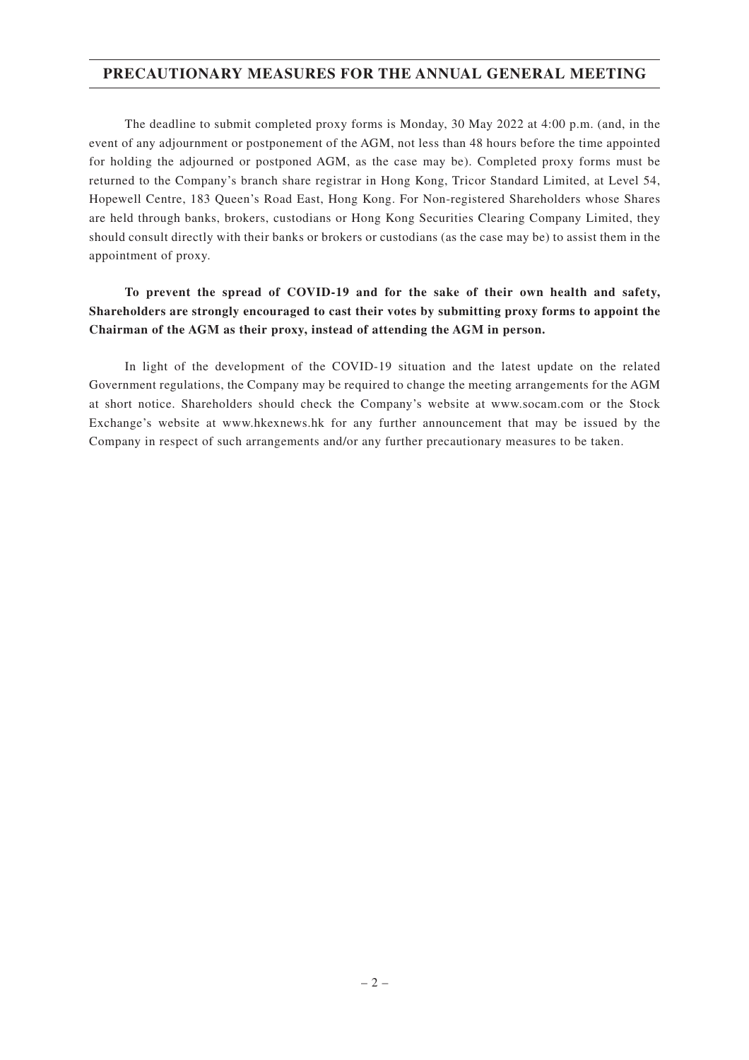## **PRECAUTIONARY MEASURES FOR THE ANNUAL GENERAL MEETING**

The deadline to submit completed proxy forms is Monday, 30 May 2022 at 4:00 p.m. (and, in the event of any adjournment or postponement of the AGM, not less than 48 hours before the time appointed for holding the adjourned or postponed AGM, as the case may be). Completed proxy forms must be returned to the Company's branch share registrar in Hong Kong, Tricor Standard Limited, at Level 54, Hopewell Centre, 183 Queen's Road East, Hong Kong. For Non-registered Shareholders whose Shares are held through banks, brokers, custodians or Hong Kong Securities Clearing Company Limited, they should consult directly with their banks or brokers or custodians (as the case may be) to assist them in the appointment of proxy.

## **To prevent the spread of COVID-19 and for the sake of their own health and safety, Shareholders are strongly encouraged to cast their votes by submitting proxy forms to appoint the Chairman of the AGM as their proxy, instead of attending the AGM in person.**

In light of the development of the COVID-19 situation and the latest update on the related Government regulations, the Company may be required to change the meeting arrangements for the AGM at short notice. Shareholders should check the Company's website at www.socam.com or the Stock Exchange's website at www.hkexnews.hk for any further announcement that may be issued by the Company in respect of such arrangements and/or any further precautionary measures to be taken.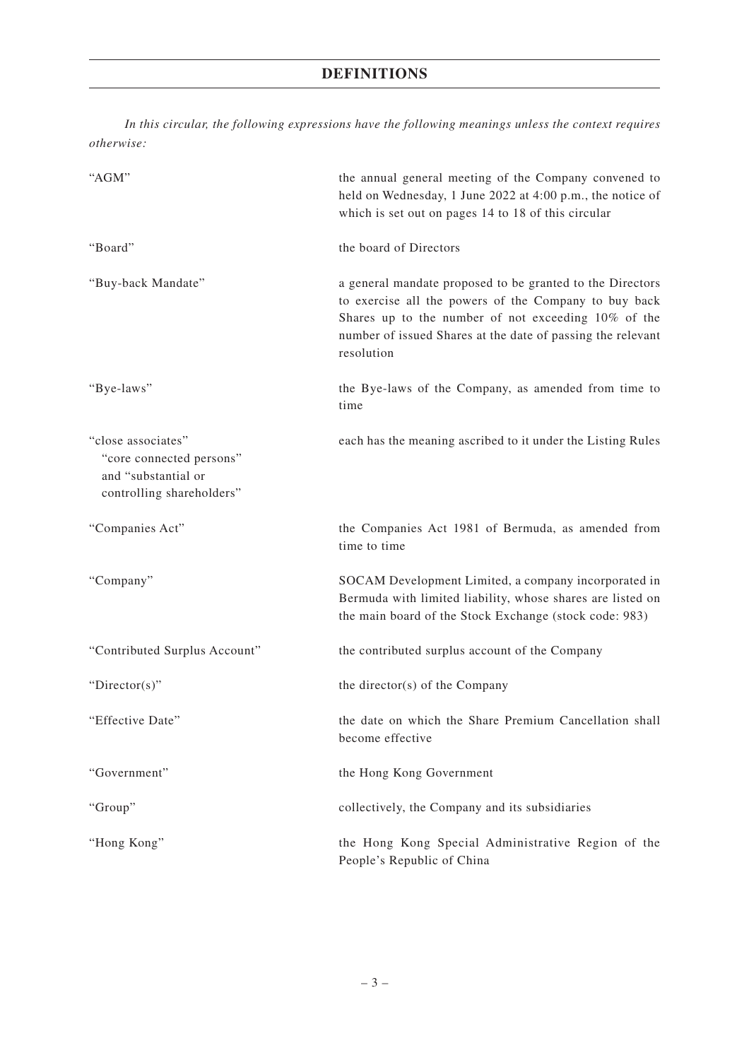## **DEFINITIONS**

*In this circular, the following expressions have the following meanings unless the context requires otherwise:*

| "AGM"                                                                                              | the annual general meeting of the Company convened to<br>held on Wednesday, 1 June 2022 at 4:00 p.m., the notice of<br>which is set out on pages 14 to 18 of this circular                                                                             |
|----------------------------------------------------------------------------------------------------|--------------------------------------------------------------------------------------------------------------------------------------------------------------------------------------------------------------------------------------------------------|
| "Board"                                                                                            | the board of Directors                                                                                                                                                                                                                                 |
| "Buy-back Mandate"                                                                                 | a general mandate proposed to be granted to the Directors<br>to exercise all the powers of the Company to buy back<br>Shares up to the number of not exceeding 10% of the<br>number of issued Shares at the date of passing the relevant<br>resolution |
| "Bye-laws"                                                                                         | the Bye-laws of the Company, as amended from time to<br>time                                                                                                                                                                                           |
| "close associates"<br>"core connected persons"<br>and "substantial or<br>controlling shareholders" | each has the meaning ascribed to it under the Listing Rules                                                                                                                                                                                            |
| "Companies Act"                                                                                    | the Companies Act 1981 of Bermuda, as amended from<br>time to time                                                                                                                                                                                     |
| "Company"                                                                                          | SOCAM Development Limited, a company incorporated in<br>Bermuda with limited liability, whose shares are listed on<br>the main board of the Stock Exchange (stock code: 983)                                                                           |
| "Contributed Surplus Account"                                                                      | the contributed surplus account of the Company                                                                                                                                                                                                         |
| "Director(s)"                                                                                      | the director(s) of the Company                                                                                                                                                                                                                         |
| "Effective Date"                                                                                   | the date on which the Share Premium Cancellation shall<br>become effective                                                                                                                                                                             |
| "Government"                                                                                       | the Hong Kong Government                                                                                                                                                                                                                               |
| "Group"                                                                                            | collectively, the Company and its subsidiaries                                                                                                                                                                                                         |
| "Hong Kong"                                                                                        | the Hong Kong Special Administrative Region of the<br>People's Republic of China                                                                                                                                                                       |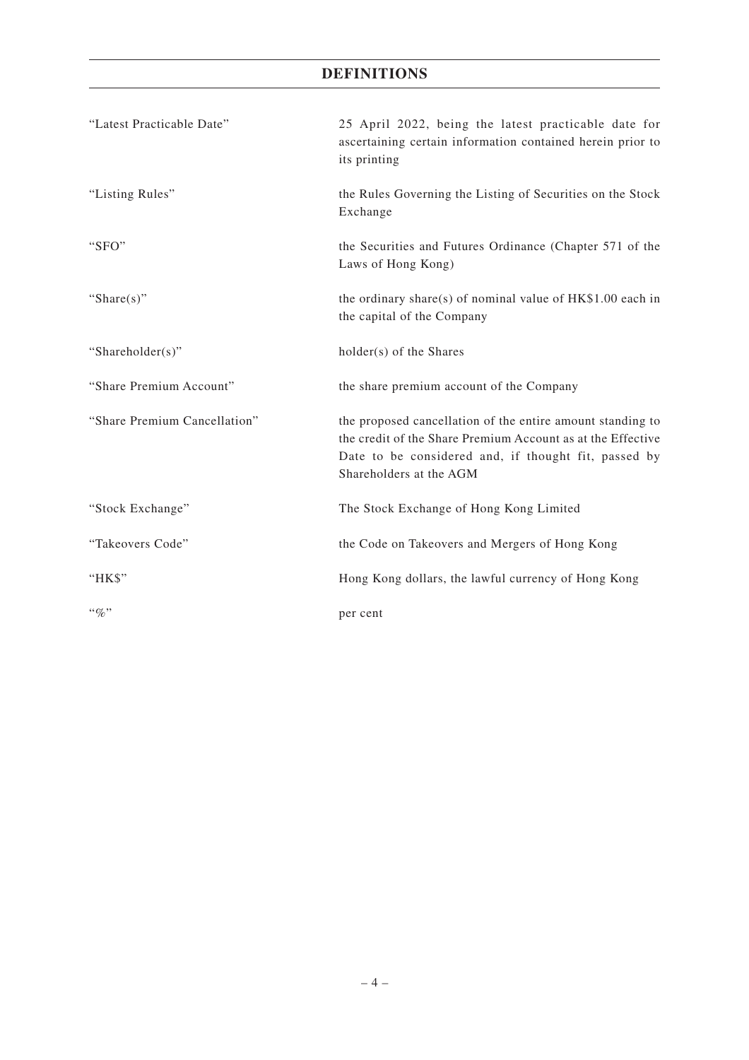## **DEFINITIONS**

| "Latest Practicable Date"    | 25 April 2022, being the latest practicable date for<br>ascertaining certain information contained herein prior to<br>its printing                                                                           |
|------------------------------|--------------------------------------------------------------------------------------------------------------------------------------------------------------------------------------------------------------|
| "Listing Rules"              | the Rules Governing the Listing of Securities on the Stock<br>Exchange                                                                                                                                       |
| "SFO"                        | the Securities and Futures Ordinance (Chapter 571 of the<br>Laws of Hong Kong)                                                                                                                               |
| "Share $(s)$ "               | the ordinary share(s) of nominal value of HK\$1.00 each in<br>the capital of the Company                                                                                                                     |
| "Shareholder(s)"             | holder(s) of the Shares                                                                                                                                                                                      |
| "Share Premium Account"      | the share premium account of the Company                                                                                                                                                                     |
| "Share Premium Cancellation" | the proposed cancellation of the entire amount standing to<br>the credit of the Share Premium Account as at the Effective<br>Date to be considered and, if thought fit, passed by<br>Shareholders at the AGM |
| "Stock Exchange"             | The Stock Exchange of Hong Kong Limited                                                                                                                                                                      |
| "Takeovers Code"             | the Code on Takeovers and Mergers of Hong Kong                                                                                                                                                               |
| " $HKS$ "                    | Hong Kong dollars, the lawful currency of Hong Kong                                                                                                                                                          |
| $``q_0"$                     | per cent                                                                                                                                                                                                     |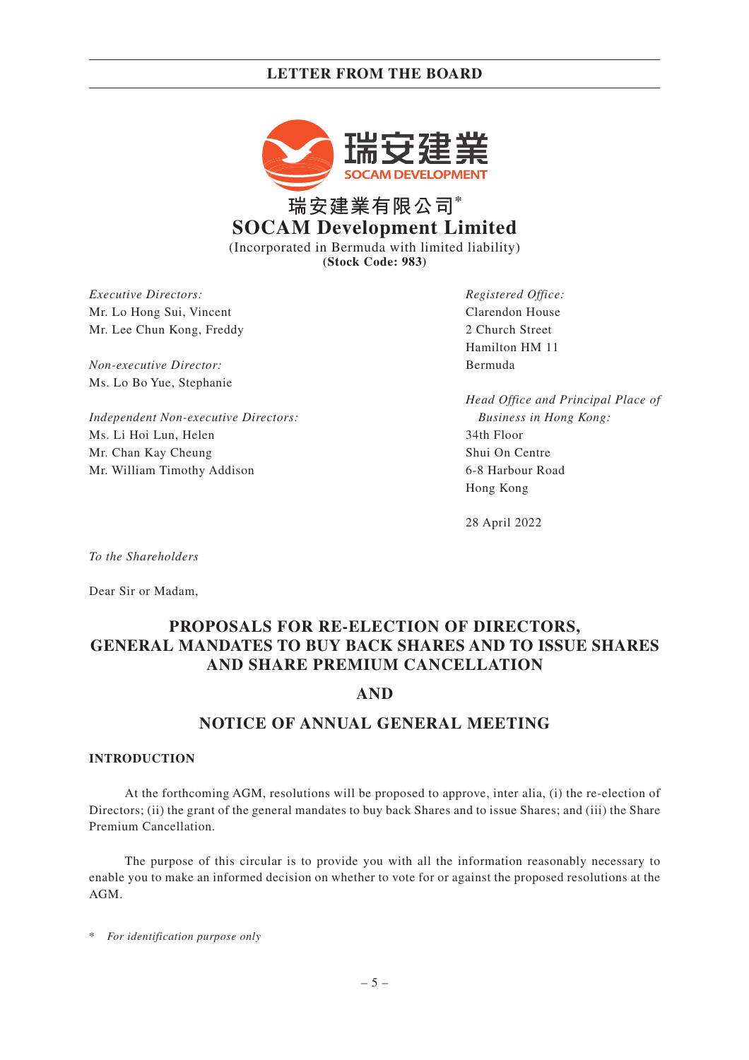## **LETTER FROM THE BOARD**



# **瑞安建業有限公司\* SOCAM Development Limited**

(Incorporated in Bermuda with limited liability) **(Stock Code: 983)**

*Executive Directors:* Mr. Lo Hong Sui, Vincent Mr. Lee Chun Kong, Freddy

*Non-executive Director:* Ms. Lo Bo Yue, Stephanie

*Independent Non-executive Directors:* Ms. Li Hoi Lun, Helen Mr. Chan Kay Cheung Mr. William Timothy Addison

*Registered Office:* Clarendon House 2 Church Street Hamilton HM 11 Bermuda

*Head Office and Principal Place of Business in Hong Kong:* 34th Floor Shui On Centre 6-8 Harbour Road Hong Kong

28 April 2022

*To the Shareholders*

Dear Sir or Madam,

## **PROPOSALS FOR RE-ELECTION OF DIRECTORS, GENERAL MANDATES TO BUY BACK SHARES AND TO ISSUE SHARES AND SHARE PREMIUM CANCELLATION**

## **AND**

## **NOTICE OF ANNUAL GENERAL MEETING**

#### **INTRODUCTION**

At the forthcoming AGM, resolutions will be proposed to approve, inter alia, (i) the re-election of Directors; (ii) the grant of the general mandates to buy back Shares and to issue Shares; and (iii) the Share Premium Cancellation.

The purpose of this circular is to provide you with all the information reasonably necessary to enable you to make an informed decision on whether to vote for or against the proposed resolutions at the AGM.

\* *For identification purpose only*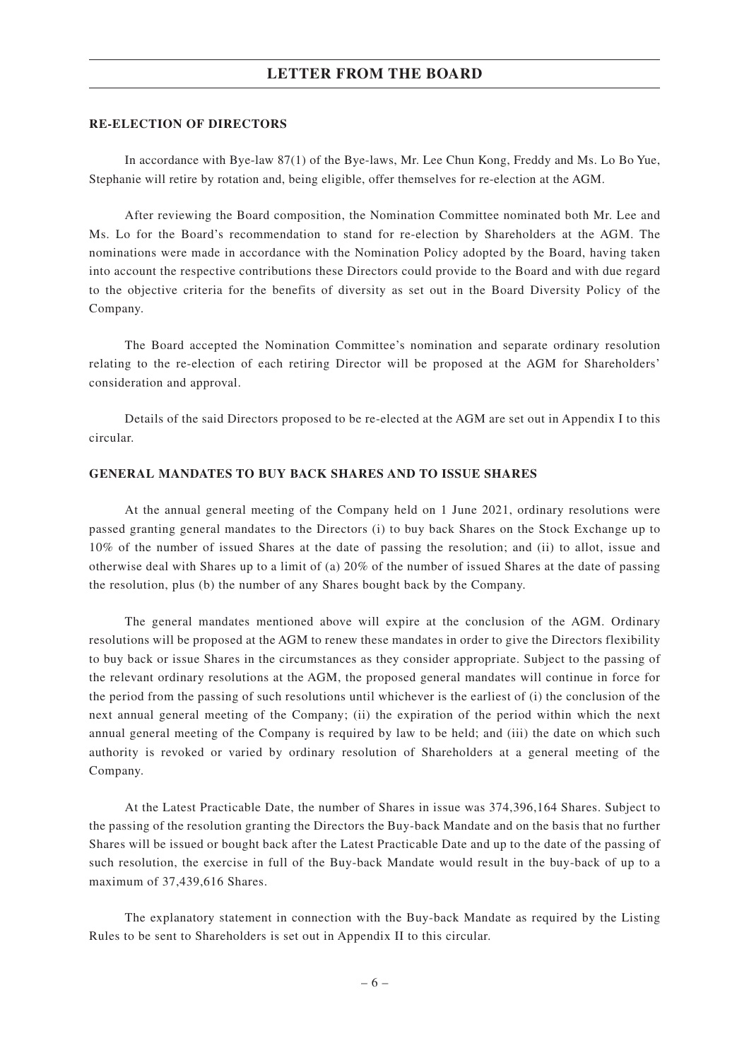### **LETTER FROM THE BOARD**

#### **RE-ELECTION OF DIRECTORS**

In accordance with Bye-law 87(1) of the Bye-laws, Mr. Lee Chun Kong, Freddy and Ms. Lo Bo Yue, Stephanie will retire by rotation and, being eligible, offer themselves for re-election at the AGM.

After reviewing the Board composition, the Nomination Committee nominated both Mr. Lee and Ms. Lo for the Board's recommendation to stand for re-election by Shareholders at the AGM. The nominations were made in accordance with the Nomination Policy adopted by the Board, having taken into account the respective contributions these Directors could provide to the Board and with due regard to the objective criteria for the benefits of diversity as set out in the Board Diversity Policy of the Company.

The Board accepted the Nomination Committee's nomination and separate ordinary resolution relating to the re-election of each retiring Director will be proposed at the AGM for Shareholders' consideration and approval.

Details of the said Directors proposed to be re-elected at the AGM are set out in Appendix I to this circular.

#### **GENERAL MANDATES TO BUY BACK SHARES AND TO ISSUE SHARES**

At the annual general meeting of the Company held on 1 June 2021, ordinary resolutions were passed granting general mandates to the Directors (i) to buy back Shares on the Stock Exchange up to 10% of the number of issued Shares at the date of passing the resolution; and (ii) to allot, issue and otherwise deal with Shares up to a limit of (a) 20% of the number of issued Shares at the date of passing the resolution, plus (b) the number of any Shares bought back by the Company.

The general mandates mentioned above will expire at the conclusion of the AGM. Ordinary resolutions will be proposed at the AGM to renew these mandates in order to give the Directors flexibility to buy back or issue Shares in the circumstances as they consider appropriate. Subject to the passing of the relevant ordinary resolutions at the AGM, the proposed general mandates will continue in force for the period from the passing of such resolutions until whichever is the earliest of (i) the conclusion of the next annual general meeting of the Company; (ii) the expiration of the period within which the next annual general meeting of the Company is required by law to be held; and (iii) the date on which such authority is revoked or varied by ordinary resolution of Shareholders at a general meeting of the Company.

At the Latest Practicable Date, the number of Shares in issue was 374,396,164 Shares. Subject to the passing of the resolution granting the Directors the Buy-back Mandate and on the basis that no further Shares will be issued or bought back after the Latest Practicable Date and up to the date of the passing of such resolution, the exercise in full of the Buy-back Mandate would result in the buy-back of up to a maximum of 37,439,616 Shares.

The explanatory statement in connection with the Buy-back Mandate as required by the Listing Rules to be sent to Shareholders is set out in Appendix II to this circular.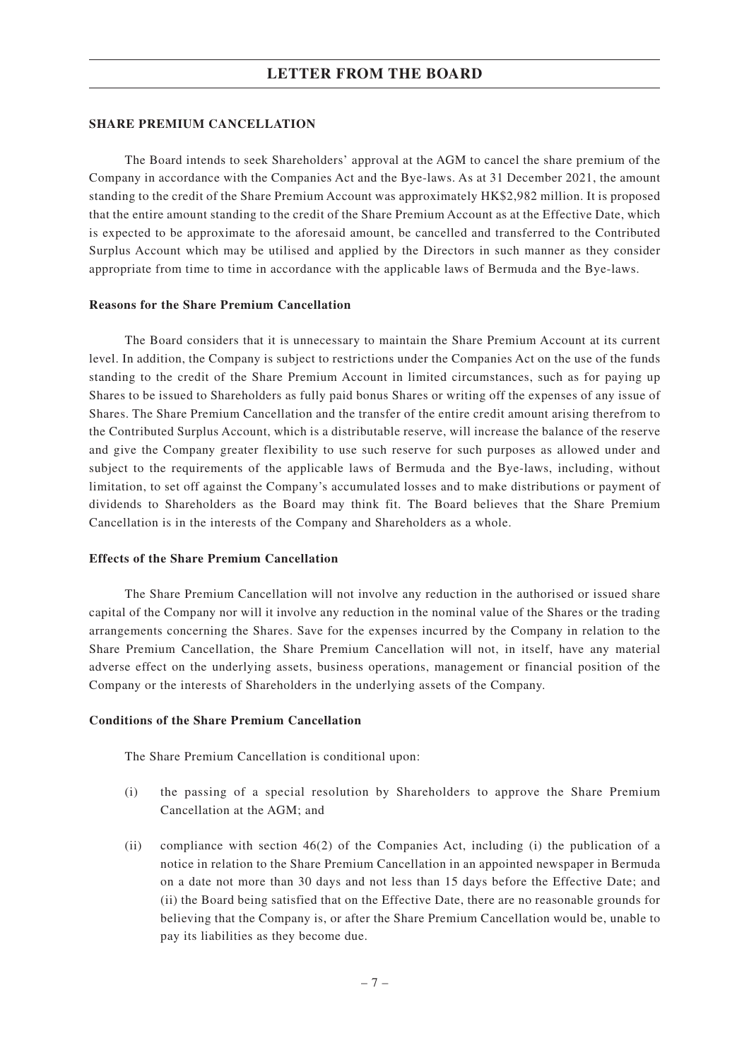#### **SHARE PREMIUM CANCELLATION**

The Board intends to seek Shareholders' approval at the AGM to cancel the share premium of the Company in accordance with the Companies Act and the Bye-laws. As at 31 December 2021, the amount standing to the credit of the Share Premium Account was approximately HK\$2,982 million. It is proposed that the entire amount standing to the credit of the Share Premium Account as at the Effective Date, which is expected to be approximate to the aforesaid amount, be cancelled and transferred to the Contributed Surplus Account which may be utilised and applied by the Directors in such manner as they consider appropriate from time to time in accordance with the applicable laws of Bermuda and the Bye-laws.

#### **Reasons for the Share Premium Cancellation**

The Board considers that it is unnecessary to maintain the Share Premium Account at its current level. In addition, the Company is subject to restrictions under the Companies Act on the use of the funds standing to the credit of the Share Premium Account in limited circumstances, such as for paying up Shares to be issued to Shareholders as fully paid bonus Shares or writing off the expenses of any issue of Shares. The Share Premium Cancellation and the transfer of the entire credit amount arising therefrom to the Contributed Surplus Account, which is a distributable reserve, will increase the balance of the reserve and give the Company greater flexibility to use such reserve for such purposes as allowed under and subject to the requirements of the applicable laws of Bermuda and the Bye-laws, including, without limitation, to set off against the Company's accumulated losses and to make distributions or payment of dividends to Shareholders as the Board may think fit. The Board believes that the Share Premium Cancellation is in the interests of the Company and Shareholders as a whole.

#### **Effects of the Share Premium Cancellation**

The Share Premium Cancellation will not involve any reduction in the authorised or issued share capital of the Company nor will it involve any reduction in the nominal value of the Shares or the trading arrangements concerning the Shares. Save for the expenses incurred by the Company in relation to the Share Premium Cancellation, the Share Premium Cancellation will not, in itself, have any material adverse effect on the underlying assets, business operations, management or financial position of the Company or the interests of Shareholders in the underlying assets of the Company.

#### **Conditions of the Share Premium Cancellation**

The Share Premium Cancellation is conditional upon:

- (i) the passing of a special resolution by Shareholders to approve the Share Premium Cancellation at the AGM; and
- (ii) compliance with section 46(2) of the Companies Act, including (i) the publication of a notice in relation to the Share Premium Cancellation in an appointed newspaper in Bermuda on a date not more than 30 days and not less than 15 days before the Effective Date; and (ii) the Board being satisfied that on the Effective Date, there are no reasonable grounds for believing that the Company is, or after the Share Premium Cancellation would be, unable to pay its liabilities as they become due.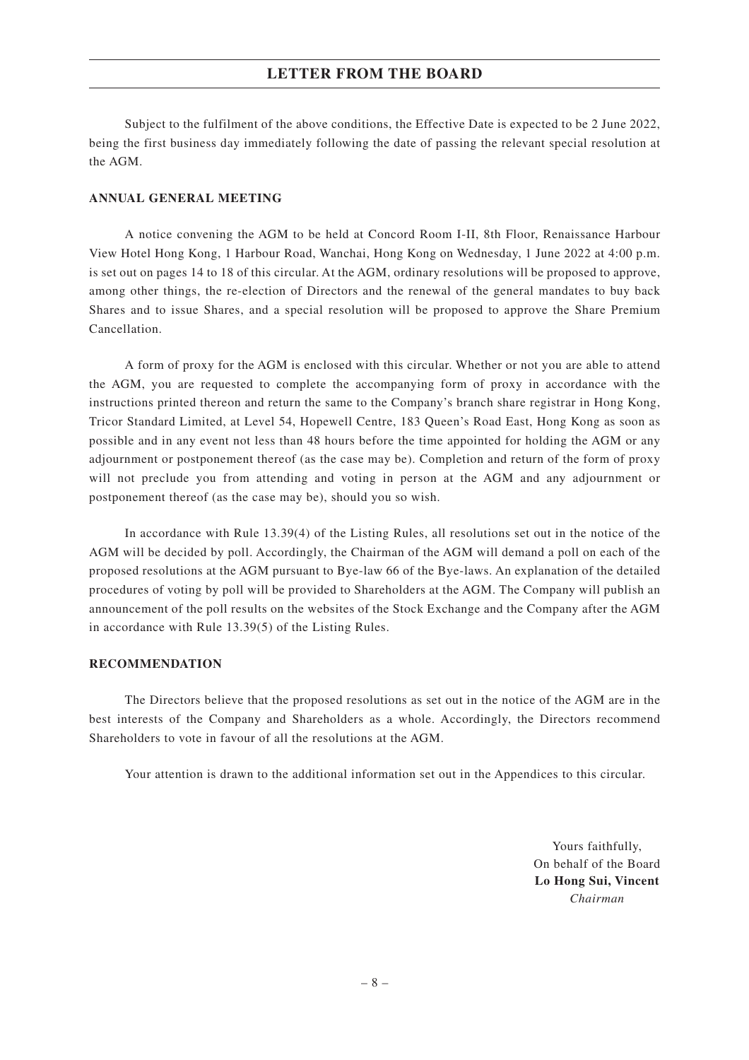## **LETTER FROM THE BOARD**

Subject to the fulfilment of the above conditions, the Effective Date is expected to be 2 June 2022, being the first business day immediately following the date of passing the relevant special resolution at the AGM.

#### **ANNUAL GENERAL MEETING**

A notice convening the AGM to be held at Concord Room I-II, 8th Floor, Renaissance Harbour View Hotel Hong Kong, 1 Harbour Road, Wanchai, Hong Kong on Wednesday, 1 June 2022 at 4:00 p.m. is set out on pages 14 to 18 of this circular. At the AGM, ordinary resolutions will be proposed to approve, among other things, the re-election of Directors and the renewal of the general mandates to buy back Shares and to issue Shares, and a special resolution will be proposed to approve the Share Premium Cancellation.

A form of proxy for the AGM is enclosed with this circular. Whether or not you are able to attend the AGM, you are requested to complete the accompanying form of proxy in accordance with the instructions printed thereon and return the same to the Company's branch share registrar in Hong Kong, Tricor Standard Limited, at Level 54, Hopewell Centre, 183 Queen's Road East, Hong Kong as soon as possible and in any event not less than 48 hours before the time appointed for holding the AGM or any adjournment or postponement thereof (as the case may be). Completion and return of the form of proxy will not preclude you from attending and voting in person at the AGM and any adjournment or postponement thereof (as the case may be), should you so wish.

In accordance with Rule 13.39(4) of the Listing Rules, all resolutions set out in the notice of the AGM will be decided by poll. Accordingly, the Chairman of the AGM will demand a poll on each of the proposed resolutions at the AGM pursuant to Bye-law 66 of the Bye-laws. An explanation of the detailed procedures of voting by poll will be provided to Shareholders at the AGM. The Company will publish an announcement of the poll results on the websites of the Stock Exchange and the Company after the AGM in accordance with Rule 13.39(5) of the Listing Rules.

#### **RECOMMENDATION**

The Directors believe that the proposed resolutions as set out in the notice of the AGM are in the best interests of the Company and Shareholders as a whole. Accordingly, the Directors recommend Shareholders to vote in favour of all the resolutions at the AGM.

Your attention is drawn to the additional information set out in the Appendices to this circular.

Yours faithfully, On behalf of the Board **Lo Hong Sui, Vincent** *Chairman*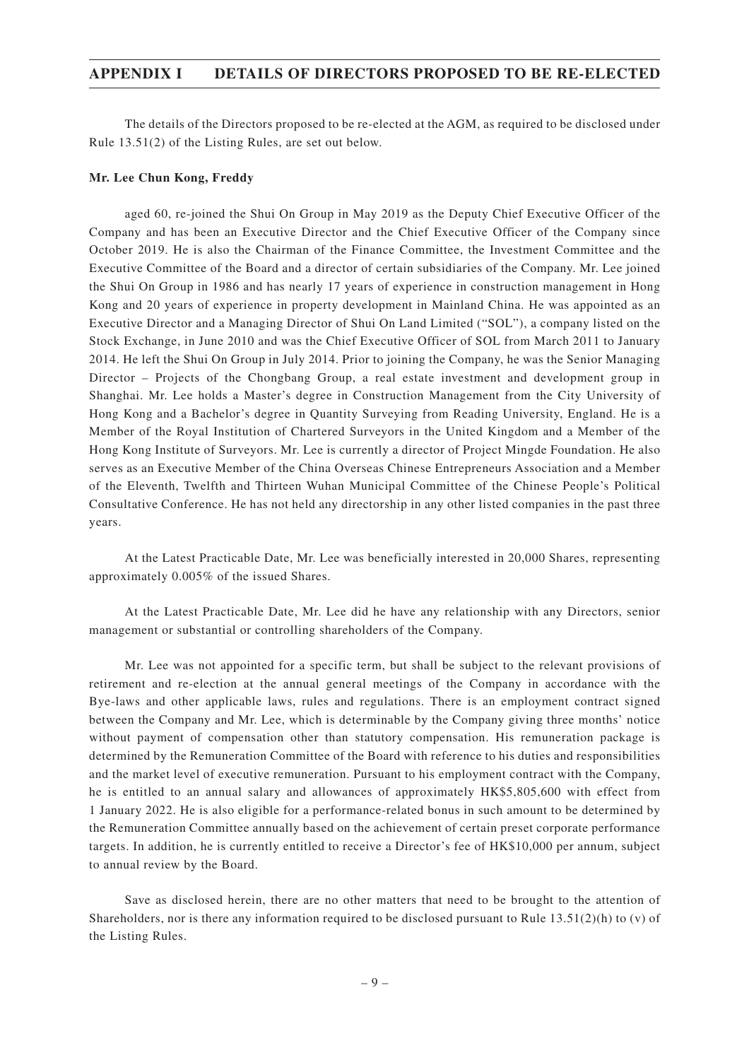### **APPENDIX I DETAILS OF DIRECTORS PROPOSED TO BE RE-ELECTED**

The details of the Directors proposed to be re-elected at the AGM, as required to be disclosed under Rule 13.51(2) of the Listing Rules, are set out below.

#### **Mr. Lee Chun Kong, Freddy**

aged 60, re-joined the Shui On Group in May 2019 as the Deputy Chief Executive Officer of the Company and has been an Executive Director and the Chief Executive Officer of the Company since October 2019. He is also the Chairman of the Finance Committee, the Investment Committee and the Executive Committee of the Board and a director of certain subsidiaries of the Company. Mr. Lee joined the Shui On Group in 1986 and has nearly 17 years of experience in construction management in Hong Kong and 20 years of experience in property development in Mainland China. He was appointed as an Executive Director and a Managing Director of Shui On Land Limited ("SOL"), a company listed on the Stock Exchange, in June 2010 and was the Chief Executive Officer of SOL from March 2011 to January 2014. He left the Shui On Group in July 2014. Prior to joining the Company, he was the Senior Managing Director – Projects of the Chongbang Group, a real estate investment and development group in Shanghai. Mr. Lee holds a Master's degree in Construction Management from the City University of Hong Kong and a Bachelor's degree in Quantity Surveying from Reading University, England. He is a Member of the Royal Institution of Chartered Surveyors in the United Kingdom and a Member of the Hong Kong Institute of Surveyors. Mr. Lee is currently a director of Project Mingde Foundation. He also serves as an Executive Member of the China Overseas Chinese Entrepreneurs Association and a Member of the Eleventh, Twelfth and Thirteen Wuhan Municipal Committee of the Chinese People's Political Consultative Conference. He has not held any directorship in any other listed companies in the past three years.

At the Latest Practicable Date, Mr. Lee was beneficially interested in 20,000 Shares, representing approximately 0.005% of the issued Shares.

At the Latest Practicable Date, Mr. Lee did he have any relationship with any Directors, senior management or substantial or controlling shareholders of the Company.

Mr. Lee was not appointed for a specific term, but shall be subject to the relevant provisions of retirement and re-election at the annual general meetings of the Company in accordance with the Bye-laws and other applicable laws, rules and regulations. There is an employment contract signed between the Company and Mr. Lee, which is determinable by the Company giving three months' notice without payment of compensation other than statutory compensation. His remuneration package is determined by the Remuneration Committee of the Board with reference to his duties and responsibilities and the market level of executive remuneration. Pursuant to his employment contract with the Company, he is entitled to an annual salary and allowances of approximately HK\$5,805,600 with effect from 1 January 2022. He is also eligible for a performance-related bonus in such amount to be determined by the Remuneration Committee annually based on the achievement of certain preset corporate performance targets. In addition, he is currently entitled to receive a Director's fee of HK\$10,000 per annum, subject to annual review by the Board.

Save as disclosed herein, there are no other matters that need to be brought to the attention of Shareholders, nor is there any information required to be disclosed pursuant to Rule  $13.51(2)(h)$  to (v) of the Listing Rules.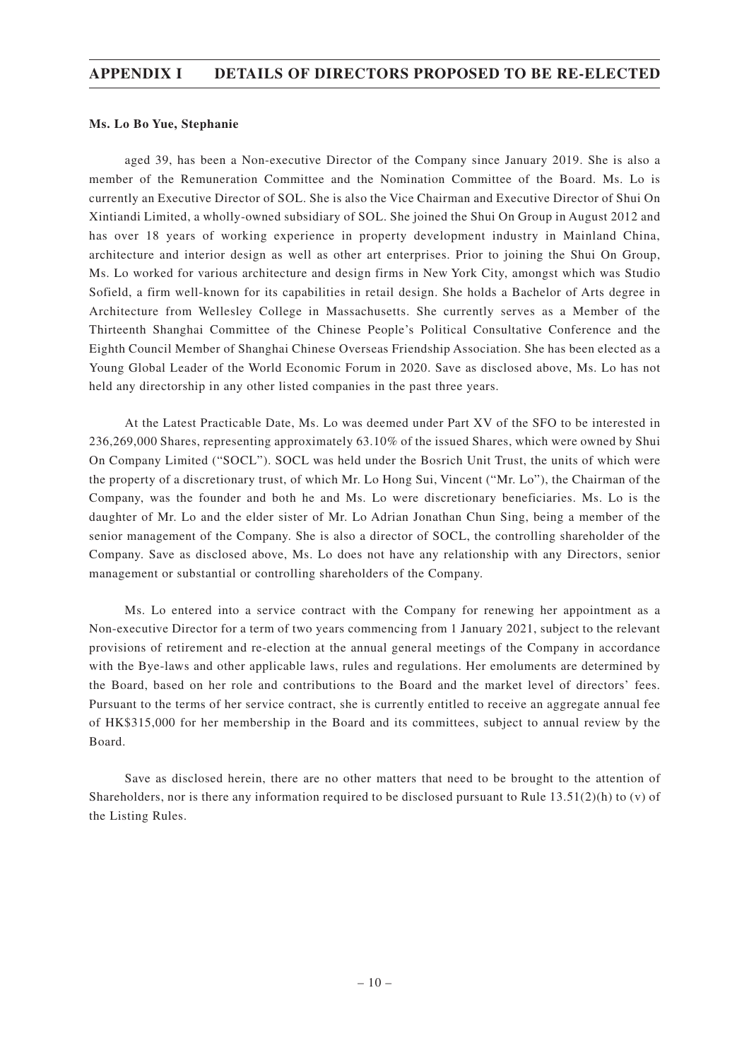## **APPENDIX I DETAILS OF DIRECTORS PROPOSED TO BE RE-ELECTED**

#### **Ms. Lo Bo Yue, Stephanie**

aged 39, has been a Non-executive Director of the Company since January 2019. She is also a member of the Remuneration Committee and the Nomination Committee of the Board. Ms. Lo is currently an Executive Director of SOL. She is also the Vice Chairman and Executive Director of Shui On Xintiandi Limited, a wholly-owned subsidiary of SOL. She joined the Shui On Group in August 2012 and has over 18 years of working experience in property development industry in Mainland China, architecture and interior design as well as other art enterprises. Prior to joining the Shui On Group, Ms. Lo worked for various architecture and design firms in New York City, amongst which was Studio Sofield, a firm well-known for its capabilities in retail design. She holds a Bachelor of Arts degree in Architecture from Wellesley College in Massachusetts. She currently serves as a Member of the Thirteenth Shanghai Committee of the Chinese People's Political Consultative Conference and the Eighth Council Member of Shanghai Chinese Overseas Friendship Association. She has been elected as a Young Global Leader of the World Economic Forum in 2020. Save as disclosed above, Ms. Lo has not held any directorship in any other listed companies in the past three years.

At the Latest Practicable Date, Ms. Lo was deemed under Part XV of the SFO to be interested in 236,269,000 Shares, representing approximately 63.10% of the issued Shares, which were owned by Shui On Company Limited ("SOCL"). SOCL was held under the Bosrich Unit Trust, the units of which were the property of a discretionary trust, of which Mr. Lo Hong Sui, Vincent ("Mr. Lo"), the Chairman of the Company, was the founder and both he and Ms. Lo were discretionary beneficiaries. Ms. Lo is the daughter of Mr. Lo and the elder sister of Mr. Lo Adrian Jonathan Chun Sing, being a member of the senior management of the Company. She is also a director of SOCL, the controlling shareholder of the Company. Save as disclosed above, Ms. Lo does not have any relationship with any Directors, senior management or substantial or controlling shareholders of the Company.

Ms. Lo entered into a service contract with the Company for renewing her appointment as a Non-executive Director for a term of two years commencing from 1 January 2021, subject to the relevant provisions of retirement and re-election at the annual general meetings of the Company in accordance with the Bye-laws and other applicable laws, rules and regulations. Her emoluments are determined by the Board, based on her role and contributions to the Board and the market level of directors' fees. Pursuant to the terms of her service contract, she is currently entitled to receive an aggregate annual fee of HK\$315,000 for her membership in the Board and its committees, subject to annual review by the Board.

Save as disclosed herein, there are no other matters that need to be brought to the attention of Shareholders, nor is there any information required to be disclosed pursuant to Rule 13.51(2)(h) to (v) of the Listing Rules.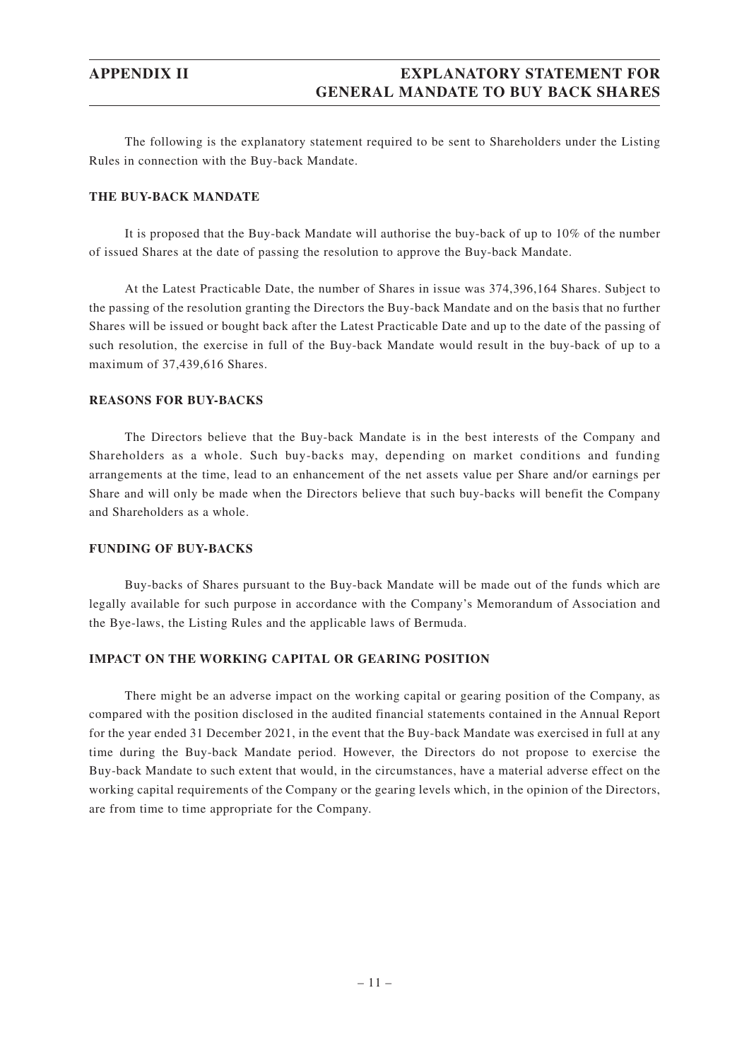## **APPENDIX II EXPLANATORY STATEMENT FOR GENERAL MANDATE TO BUY BACK SHARES**

The following is the explanatory statement required to be sent to Shareholders under the Listing Rules in connection with the Buy-back Mandate.

#### **THE BUY-BACK MANDATE**

It is proposed that the Buy-back Mandate will authorise the buy-back of up to 10% of the number of issued Shares at the date of passing the resolution to approve the Buy-back Mandate.

At the Latest Practicable Date, the number of Shares in issue was 374,396,164 Shares. Subject to the passing of the resolution granting the Directors the Buy-back Mandate and on the basis that no further Shares will be issued or bought back after the Latest Practicable Date and up to the date of the passing of such resolution, the exercise in full of the Buy-back Mandate would result in the buy-back of up to a maximum of 37,439,616 Shares.

#### **REASONS FOR BUY-BACKS**

The Directors believe that the Buy-back Mandate is in the best interests of the Company and Shareholders as a whole. Such buy-backs may, depending on market conditions and funding arrangements at the time, lead to an enhancement of the net assets value per Share and/or earnings per Share and will only be made when the Directors believe that such buy-backs will benefit the Company and Shareholders as a whole.

#### **FUNDING OF BUY-BACKS**

Buy-backs of Shares pursuant to the Buy-back Mandate will be made out of the funds which are legally available for such purpose in accordance with the Company's Memorandum of Association and the Bye-laws, the Listing Rules and the applicable laws of Bermuda.

#### **IMPACT ON THE WORKING CAPITAL OR GEARING POSITION**

There might be an adverse impact on the working capital or gearing position of the Company, as compared with the position disclosed in the audited financial statements contained in the Annual Report for the year ended 31 December 2021, in the event that the Buy-back Mandate was exercised in full at any time during the Buy-back Mandate period. However, the Directors do not propose to exercise the Buy-back Mandate to such extent that would, in the circumstances, have a material adverse effect on the working capital requirements of the Company or the gearing levels which, in the opinion of the Directors, are from time to time appropriate for the Company.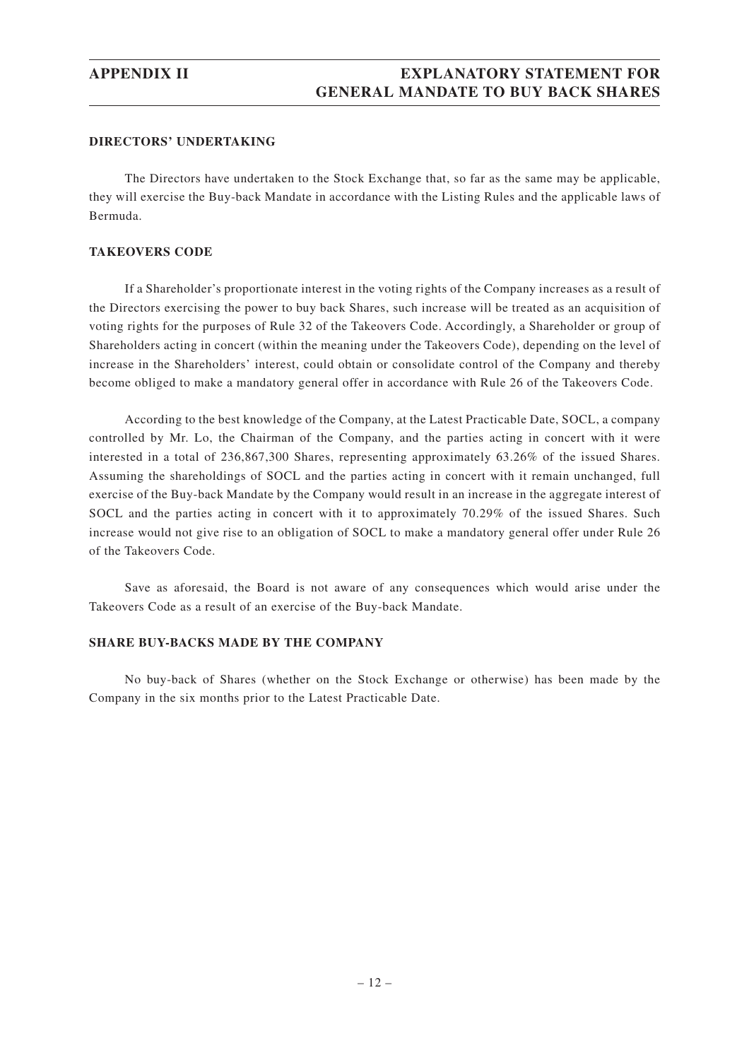## **APPENDIX II EXPLANATORY STATEMENT FOR GENERAL MANDATE TO BUY BACK SHARES**

#### **DIRECTORS' UNDERTAKING**

The Directors have undertaken to the Stock Exchange that, so far as the same may be applicable, they will exercise the Buy-back Mandate in accordance with the Listing Rules and the applicable laws of Bermuda.

#### **TAKEOVERS CODE**

If a Shareholder's proportionate interest in the voting rights of the Company increases as a result of the Directors exercising the power to buy back Shares, such increase will be treated as an acquisition of voting rights for the purposes of Rule 32 of the Takeovers Code. Accordingly, a Shareholder or group of Shareholders acting in concert (within the meaning under the Takeovers Code), depending on the level of increase in the Shareholders' interest, could obtain or consolidate control of the Company and thereby become obliged to make a mandatory general offer in accordance with Rule 26 of the Takeovers Code.

According to the best knowledge of the Company, at the Latest Practicable Date, SOCL, a company controlled by Mr. Lo, the Chairman of the Company, and the parties acting in concert with it were interested in a total of 236,867,300 Shares, representing approximately 63.26% of the issued Shares. Assuming the shareholdings of SOCL and the parties acting in concert with it remain unchanged, full exercise of the Buy-back Mandate by the Company would result in an increase in the aggregate interest of SOCL and the parties acting in concert with it to approximately 70.29% of the issued Shares. Such increase would not give rise to an obligation of SOCL to make a mandatory general offer under Rule 26 of the Takeovers Code.

Save as aforesaid, the Board is not aware of any consequences which would arise under the Takeovers Code as a result of an exercise of the Buy-back Mandate.

#### **SHARE BUY-BACKS MADE BY THE COMPANY**

No buy-back of Shares (whether on the Stock Exchange or otherwise) has been made by the Company in the six months prior to the Latest Practicable Date.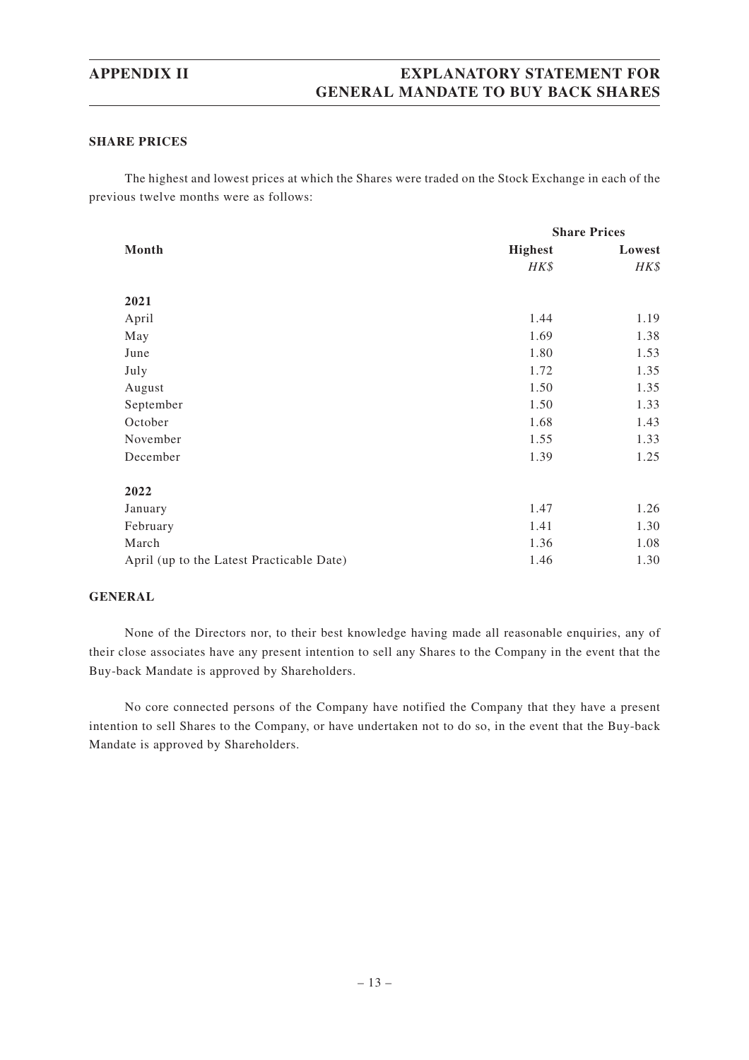## **APPENDIX II EXPLANATORY STATEMENT FOR GENERAL MANDATE TO BUY BACK SHARES**

#### **SHARE PRICES**

The highest and lowest prices at which the Shares were traded on the Stock Exchange in each of the previous twelve months were as follows:

|                                           | <b>Share Prices</b> |        |
|-------------------------------------------|---------------------|--------|
| Month                                     | <b>Highest</b>      | Lowest |
|                                           | HK\$                | HK\$   |
|                                           |                     |        |
| 2021                                      |                     |        |
| April                                     | 1.44                | 1.19   |
| May                                       | 1.69                | 1.38   |
| June                                      | 1.80                | 1.53   |
| July                                      | 1.72                | 1.35   |
| August                                    | 1.50                | 1.35   |
| September                                 | 1.50                | 1.33   |
| October                                   | 1.68                | 1.43   |
| November                                  | 1.55                | 1.33   |
| December                                  | 1.39                | 1.25   |
| 2022                                      |                     |        |
| January                                   | 1.47                | 1.26   |
| February                                  | 1.41                | 1.30   |
| March                                     | 1.36                | 1.08   |
| April (up to the Latest Practicable Date) | 1.46                | 1.30   |

#### **GENERAL**

None of the Directors nor, to their best knowledge having made all reasonable enquiries, any of their close associates have any present intention to sell any Shares to the Company in the event that the Buy-back Mandate is approved by Shareholders.

No core connected persons of the Company have notified the Company that they have a present intention to sell Shares to the Company, or have undertaken not to do so, in the event that the Buy-back Mandate is approved by Shareholders.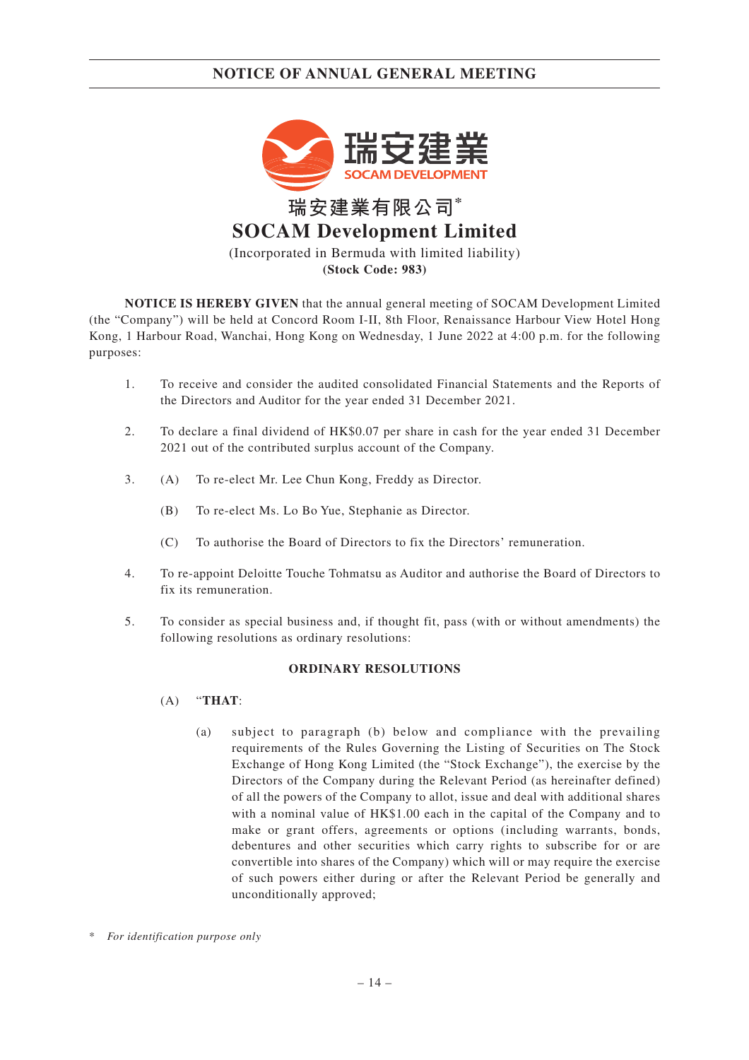

(Incorporated in Bermuda with limited liability) **(Stock Code: 983)**

**NOTICE IS HEREBY GIVEN** that the annual general meeting of SOCAM Development Limited (the "Company") will be held at Concord Room I-II, 8th Floor, Renaissance Harbour View Hotel Hong Kong, 1 Harbour Road, Wanchai, Hong Kong on Wednesday, 1 June 2022 at 4:00 p.m. for the following purposes:

- 1. To receive and consider the audited consolidated Financial Statements and the Reports of the Directors and Auditor for the year ended 31 December 2021.
- 2. To declare a final dividend of HK\$0.07 per share in cash for the year ended 31 December 2021 out of the contributed surplus account of the Company.
- 3. (A) To re-elect Mr. Lee Chun Kong, Freddy as Director.
	- (B) To re-elect Ms. Lo Bo Yue, Stephanie as Director.
	- (C) To authorise the Board of Directors to fix the Directors' remuneration.
- 4. To re-appoint Deloitte Touche Tohmatsu as Auditor and authorise the Board of Directors to fix its remuneration.
- 5. To consider as special business and, if thought fit, pass (with or without amendments) the following resolutions as ordinary resolutions:

#### **ORDINARY RESOLUTIONS**

- (A) "**THAT**:
	- (a) subject to paragraph (b) below and compliance with the prevailing requirements of the Rules Governing the Listing of Securities on The Stock Exchange of Hong Kong Limited (the "Stock Exchange"), the exercise by the Directors of the Company during the Relevant Period (as hereinafter defined) of all the powers of the Company to allot, issue and deal with additional shares with a nominal value of HK\$1.00 each in the capital of the Company and to make or grant offers, agreements or options (including warrants, bonds, debentures and other securities which carry rights to subscribe for or are convertible into shares of the Company) which will or may require the exercise of such powers either during or after the Relevant Period be generally and unconditionally approved;
- \* *For identification purpose only*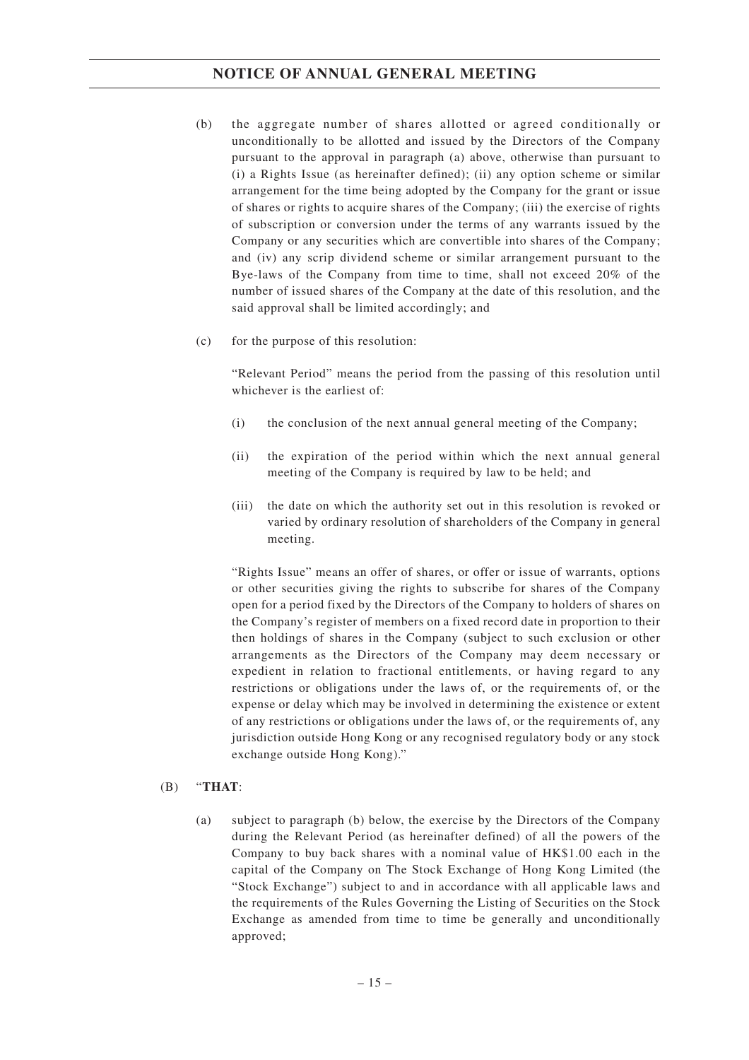- (b) the aggregate number of shares allotted or agreed conditionally or unconditionally to be allotted and issued by the Directors of the Company pursuant to the approval in paragraph (a) above, otherwise than pursuant to (i) a Rights Issue (as hereinafter defined); (ii) any option scheme or similar arrangement for the time being adopted by the Company for the grant or issue of shares or rights to acquire shares of the Company; (iii) the exercise of rights of subscription or conversion under the terms of any warrants issued by the Company or any securities which are convertible into shares of the Company; and (iv) any scrip dividend scheme or similar arrangement pursuant to the Bye-laws of the Company from time to time, shall not exceed 20% of the number of issued shares of the Company at the date of this resolution, and the said approval shall be limited accordingly; and
- (c) for the purpose of this resolution:

"Relevant Period" means the period from the passing of this resolution until whichever is the earliest of:

- (i) the conclusion of the next annual general meeting of the Company;
- (ii) the expiration of the period within which the next annual general meeting of the Company is required by law to be held; and
- (iii) the date on which the authority set out in this resolution is revoked or varied by ordinary resolution of shareholders of the Company in general meeting.

"Rights Issue" means an offer of shares, or offer or issue of warrants, options or other securities giving the rights to subscribe for shares of the Company open for a period fixed by the Directors of the Company to holders of shares on the Company's register of members on a fixed record date in proportion to their then holdings of shares in the Company (subject to such exclusion or other arrangements as the Directors of the Company may deem necessary or expedient in relation to fractional entitlements, or having regard to any restrictions or obligations under the laws of, or the requirements of, or the expense or delay which may be involved in determining the existence or extent of any restrictions or obligations under the laws of, or the requirements of, any jurisdiction outside Hong Kong or any recognised regulatory body or any stock exchange outside Hong Kong)."

#### (B) "**THAT**:

(a) subject to paragraph (b) below, the exercise by the Directors of the Company during the Relevant Period (as hereinafter defined) of all the powers of the Company to buy back shares with a nominal value of HK\$1.00 each in the capital of the Company on The Stock Exchange of Hong Kong Limited (the "Stock Exchange") subject to and in accordance with all applicable laws and the requirements of the Rules Governing the Listing of Securities on the Stock Exchange as amended from time to time be generally and unconditionally approved;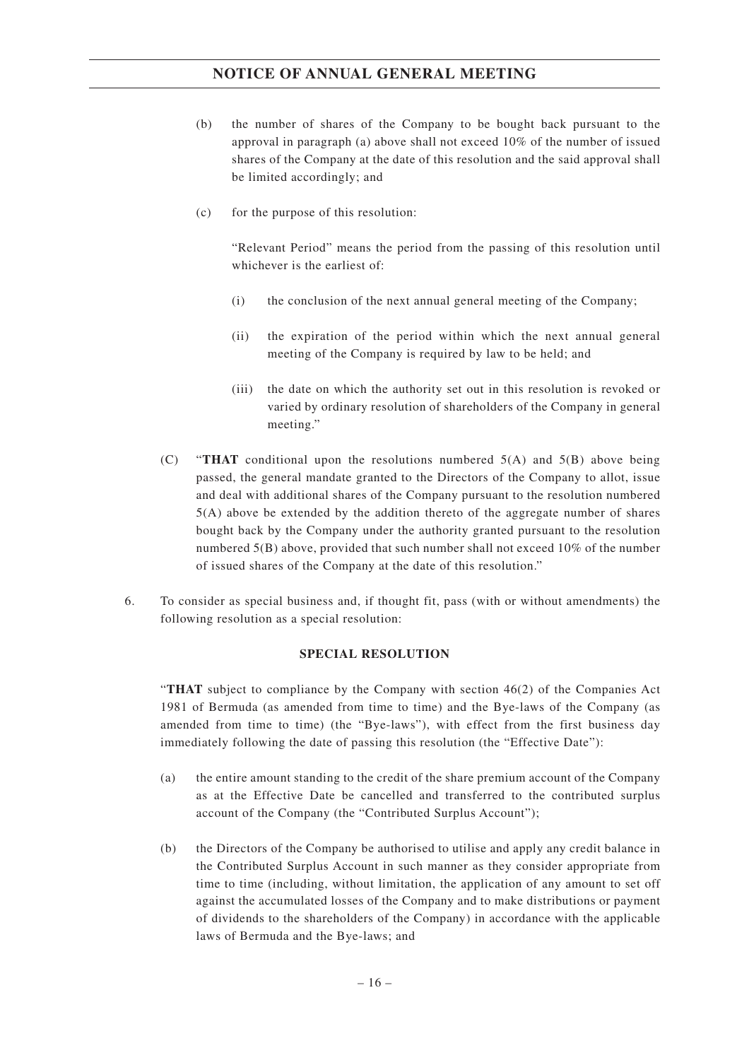- (b) the number of shares of the Company to be bought back pursuant to the approval in paragraph (a) above shall not exceed 10% of the number of issued shares of the Company at the date of this resolution and the said approval shall be limited accordingly; and
- (c) for the purpose of this resolution:

"Relevant Period" means the period from the passing of this resolution until whichever is the earliest of:

- (i) the conclusion of the next annual general meeting of the Company;
- (ii) the expiration of the period within which the next annual general meeting of the Company is required by law to be held; and
- (iii) the date on which the authority set out in this resolution is revoked or varied by ordinary resolution of shareholders of the Company in general meeting."
- (C) "**THAT** conditional upon the resolutions numbered 5(A) and 5(B) above being passed, the general mandate granted to the Directors of the Company to allot, issue and deal with additional shares of the Company pursuant to the resolution numbered 5(A) above be extended by the addition thereto of the aggregate number of shares bought back by the Company under the authority granted pursuant to the resolution numbered 5(B) above, provided that such number shall not exceed 10% of the number of issued shares of the Company at the date of this resolution."
- 6. To consider as special business and, if thought fit, pass (with or without amendments) the following resolution as a special resolution:

#### **SPECIAL RESOLUTION**

"**THAT** subject to compliance by the Company with section 46(2) of the Companies Act 1981 of Bermuda (as amended from time to time) and the Bye-laws of the Company (as amended from time to time) (the "Bye-laws"), with effect from the first business day immediately following the date of passing this resolution (the "Effective Date"):

- (a) the entire amount standing to the credit of the share premium account of the Company as at the Effective Date be cancelled and transferred to the contributed surplus account of the Company (the "Contributed Surplus Account");
- (b) the Directors of the Company be authorised to utilise and apply any credit balance in the Contributed Surplus Account in such manner as they consider appropriate from time to time (including, without limitation, the application of any amount to set off against the accumulated losses of the Company and to make distributions or payment of dividends to the shareholders of the Company) in accordance with the applicable laws of Bermuda and the Bye-laws; and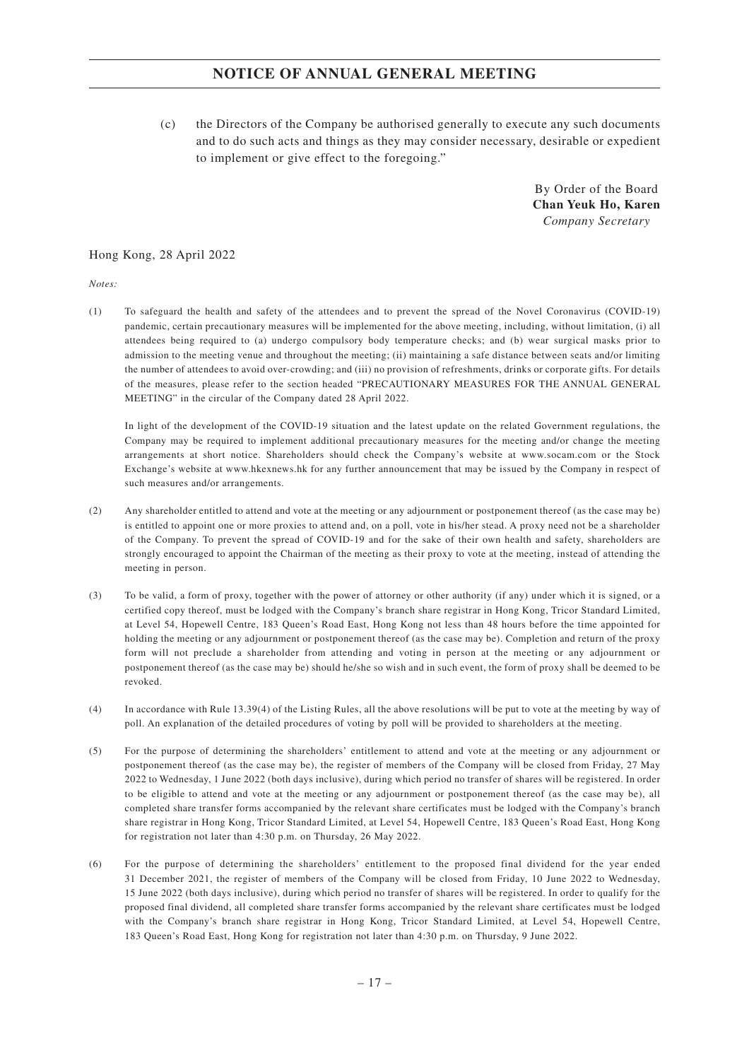(c) the Directors of the Company be authorised generally to execute any such documents and to do such acts and things as they may consider necessary, desirable or expedient to implement or give effect to the foregoing."

> By Order of the Board **Chan Yeuk Ho, Karen** *Company Secretary*

Hong Kong, 28 April 2022

*Notes:*

(1) To safeguard the health and safety of the attendees and to prevent the spread of the Novel Coronavirus (COVID-19) pandemic, certain precautionary measures will be implemented for the above meeting, including, without limitation, (i) all attendees being required to (a) undergo compulsory body temperature checks; and (b) wear surgical masks prior to admission to the meeting venue and throughout the meeting; (ii) maintaining a safe distance between seats and/or limiting the number of attendees to avoid over-crowding; and (iii) no provision of refreshments, drinks or corporate gifts. For details of the measures, please refer to the section headed "PRECAUTIONARY MEASURES FOR THE ANNUAL GENERAL MEETING" in the circular of the Company dated 28 April 2022.

In light of the development of the COVID-19 situation and the latest update on the related Government regulations, the Company may be required to implement additional precautionary measures for the meeting and/or change the meeting arrangements at short notice. Shareholders should check the Company's website at www.socam.com or the Stock Exchange's website at www.hkexnews.hk for any further announcement that may be issued by the Company in respect of such measures and/or arrangements.

- (2) Any shareholder entitled to attend and vote at the meeting or any adjournment or postponement thereof (as the case may be) is entitled to appoint one or more proxies to attend and, on a poll, vote in his/her stead. A proxy need not be a shareholder of the Company. To prevent the spread of COVID-19 and for the sake of their own health and safety, shareholders are strongly encouraged to appoint the Chairman of the meeting as their proxy to vote at the meeting, instead of attending the meeting in person.
- (3) To be valid, a form of proxy, together with the power of attorney or other authority (if any) under which it is signed, or a certified copy thereof, must be lodged with the Company's branch share registrar in Hong Kong, Tricor Standard Limited, at Level 54, Hopewell Centre, 183 Queen's Road East, Hong Kong not less than 48 hours before the time appointed for holding the meeting or any adjournment or postponement thereof (as the case may be). Completion and return of the proxy form will not preclude a shareholder from attending and voting in person at the meeting or any adjournment or postponement thereof (as the case may be) should he/she so wish and in such event, the form of proxy shall be deemed to be revoked.
- (4) In accordance with Rule 13.39(4) of the Listing Rules, all the above resolutions will be put to vote at the meeting by way of poll. An explanation of the detailed procedures of voting by poll will be provided to shareholders at the meeting.
- (5) For the purpose of determining the shareholders' entitlement to attend and vote at the meeting or any adjournment or postponement thereof (as the case may be), the register of members of the Company will be closed from Friday, 27 May 2022 to Wednesday, 1 June 2022 (both days inclusive), during which period no transfer of shares will be registered. In order to be eligible to attend and vote at the meeting or any adjournment or postponement thereof (as the case may be), all completed share transfer forms accompanied by the relevant share certificates must be lodged with the Company's branch share registrar in Hong Kong, Tricor Standard Limited, at Level 54, Hopewell Centre, 183 Queen's Road East, Hong Kong for registration not later than 4:30 p.m. on Thursday, 26 May 2022.
- (6) For the purpose of determining the shareholders' entitlement to the proposed final dividend for the year ended 31 December 2021, the register of members of the Company will be closed from Friday, 10 June 2022 to Wednesday, 15 June 2022 (both days inclusive), during which period no transfer of shares will be registered. In order to qualify for the proposed final dividend, all completed share transfer forms accompanied by the relevant share certificates must be lodged with the Company's branch share registrar in Hong Kong, Tricor Standard Limited, at Level 54, Hopewell Centre, 183 Queen's Road East, Hong Kong for registration not later than 4:30 p.m. on Thursday, 9 June 2022.